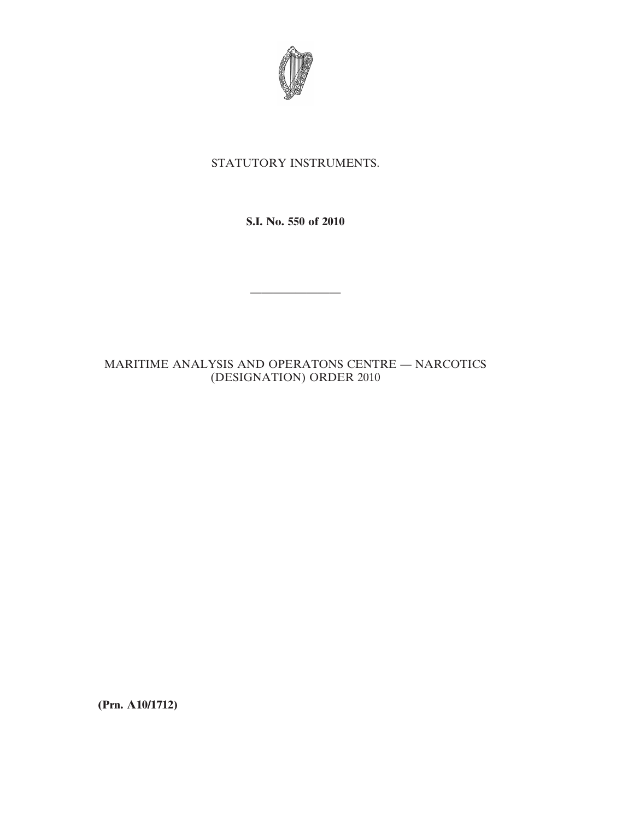

## STATUTORY INSTRUMENTS.

**S.I. No. 550 of 2010**

————————

## MARITIME ANALYSIS AND OPERATONS CENTRE — NARCOTICS (DESIGNATION) ORDER 2010

**(Prn. A10/1712)**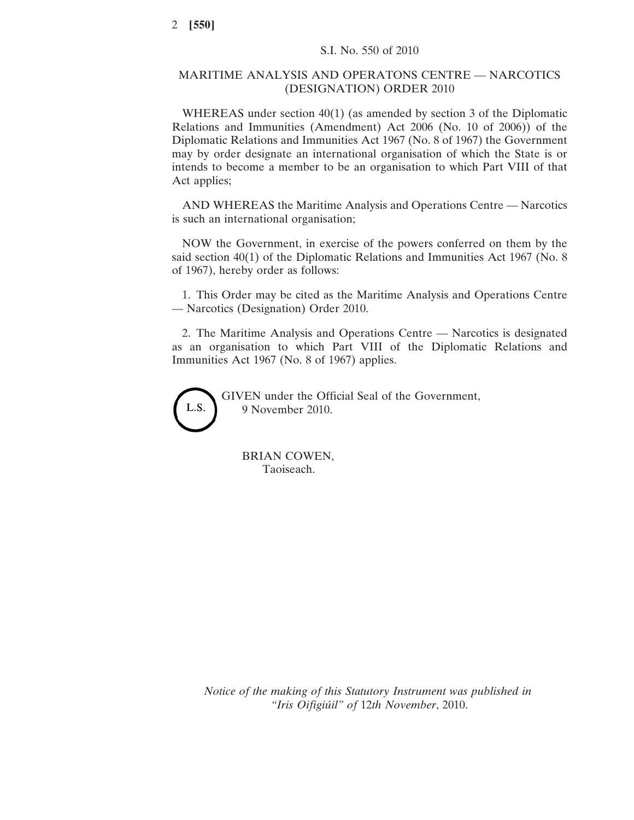## MARITIME ANALYSIS AND OPERATONS CENTRE — NARCOTICS (DESIGNATION) ORDER 2010

WHEREAS under section 40(1) (as amended by section 3 of the Diplomatic Relations and Immunities (Amendment) Act 2006 (No. 10 of 2006)) of the Diplomatic Relations and Immunities Act 1967 (No. 8 of 1967) the Government may by order designate an international organisation of which the State is or intends to become a member to be an organisation to which Part VIII of that Act applies;

AND WHEREAS the Maritime Analysis and Operations Centre — Narcotics is such an international organisation;

NOW the Government, in exercise of the powers conferred on them by the said section 40(1) of the Diplomatic Relations and Immunities Act 1967 (No. 8 of 1967), hereby order as follows:

1. This Order may be cited as the Maritime Analysis and Operations Centre — Narcotics (Designation) Order 2010.

2. The Maritime Analysis and Operations Centre — Narcotics is designated as an organisation to which Part VIII of the Diplomatic Relations and Immunities Act 1967 (No. 8 of 1967) applies.



GIVEN under the Official Seal of the Government, 9 November 2010.

BRIAN COWEN, Taoiseach.

*Notice of the making of this Statutory Instrument was published in "Iris Oifigiúil" of* 12*th November*, 2010.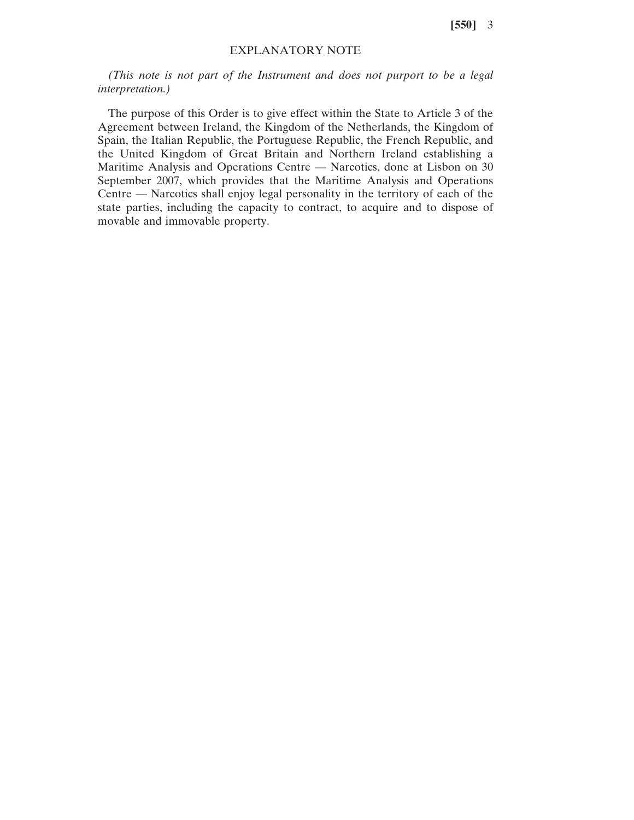**[550]** 3

## EXPLANATORY NOTE

*(This note is not part of the Instrument and does not purport to be a legal interpretation.)*

The purpose of this Order is to give effect within the State to Article 3 of the Agreement between Ireland, the Kingdom of the Netherlands, the Kingdom of Spain, the Italian Republic, the Portuguese Republic, the French Republic, and the United Kingdom of Great Britain and Northern Ireland establishing a Maritime Analysis and Operations Centre — Narcotics, done at Lisbon on 30 September 2007, which provides that the Maritime Analysis and Operations Centre — Narcotics shall enjoy legal personality in the territory of each of the state parties, including the capacity to contract, to acquire and to dispose of movable and immovable property.